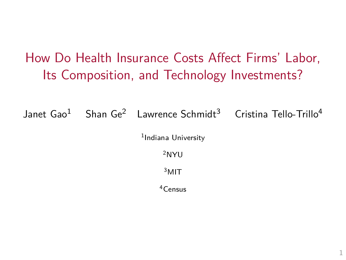# How Do Health Insurance Costs Affect Firms' Labor, Its Composition, and Technology Investments?

Janet Gao<sup>1</sup> Shan Ge<sup>2</sup> Lawrence Schmidt<sup>3</sup> Cristina Tello-Trillo<sup>4</sup>

<sup>1</sup>Indiana University

<sup>2</sup>NYU

<sup>3</sup>MIT

<sup>4</sup>Census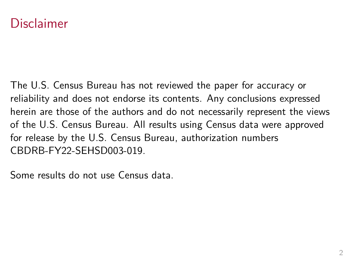### Disclaimer

The U.S. Census Bureau has not reviewed the paper for accuracy or reliability and does not endorse its contents. Any conclusions expressed herein are those of the authors and do not necessarily represent the views of the U.S. Census Bureau. All results using Census data were approved for release by the U.S. Census Bureau, authorization numbers CBDRB-FY22-SEHSD003-019.

Some results do not use Census data.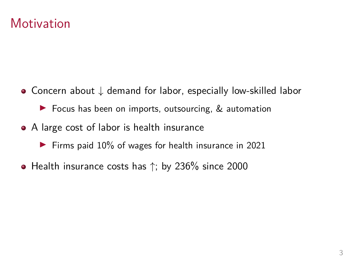### **Motivation**

Concern about ↓ demand for labor, especially low-skilled labor

▶ Focus has been on imports, outsourcing, & automation

- A large cost of labor is health insurance
	- ▶ Firms paid 10% of wages for health insurance in 2021
- Health insurance costs has  $\uparrow$ ; by 236% since 2000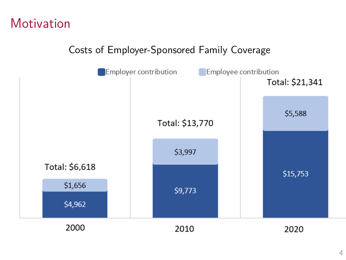## **Motivation**

#### Costs of Employer-Sponsored Family Coverage

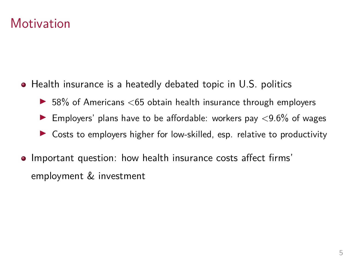## **Motivation**

- Health insurance is a heatedly debated topic in U.S. politics
	- $\blacktriangleright$  58% of Americans  $\lt$  65 obtain health insurance through employers
	- Employers' plans have to be affordable: workers pay  $\langle 9.6\%$  of wages
	- ▶ Costs to employers higher for low-skilled, esp. relative to productivity
- Important question: how health insurance costs affect firms' employment & investment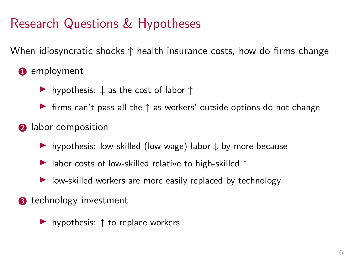# Research Questions & Hypotheses

When idiosyncratic shocks  $\uparrow$  health insurance costs, how do firms change

- **1** employment
	- ▶ hypothesis:  $\downarrow$  as the cost of labor  $\uparrow$
	- $\triangleright$  firms can't pass all the  $\uparrow$  as workers' outside options do not change
- **2** labor composition
	- ▶ hypothesis: low-skilled (low-wage) labor ↓ by more because
	- ▶ labor costs of low-skilled relative to high-skilled ↑
	- ▶ low-skilled workers are more easily replaced by technology
- **8** technology investment
	- ▶ hypothesis:  $\uparrow$  to replace workers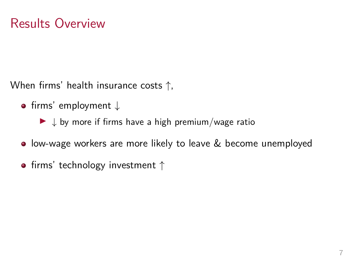When firms' health insurance costs ↑,

- firms' employment ↓
	- $\blacktriangleright \downarrow$  by more if firms have a high premium/wage ratio
- low-wage workers are more likely to leave & become unemployed
- firms' technology investment  $\uparrow$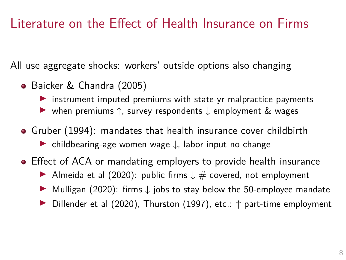## Literature on the Effect of Health Insurance on Firms

All use aggregate shocks: workers' outside options also changing

- Baicker & Chandra (2005)
	- $\triangleright$  instrument imputed premiums with state-yr malpractice payments
	- ▶ when premiums ↑, survey respondents ↓ employment & wages
- Gruber (1994): mandates that health insurance cover childbirth ▶ childbearing-age women wage ↓, labor input no change
- Effect of ACA or mandating employers to provide health insurance
	- ▶ Almeida et al (2020): public firms  $\downarrow \#$  covered, not employment
	- ▶ Mulligan (2020): firms ↓ jobs to stay below the 50-employee mandate
	- ▶ Dillender et al (2020), Thurston (1997), etc.: ↑ part-time employment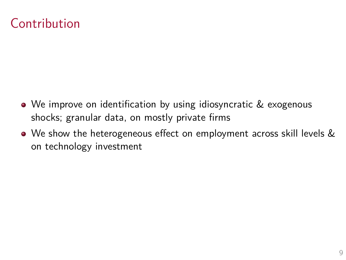# Contribution

- We improve on identification by using idiosyncratic & exogenous shocks; granular data, on mostly private firms
- We show the heterogeneous effect on employment across skill levels & on technology investment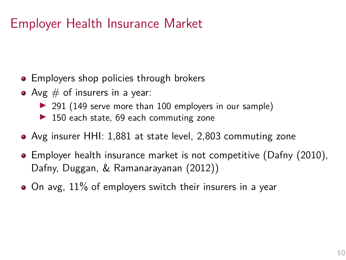# Employer Health Insurance Market

- Employers shop policies through brokers
- Avg  $#$  of insurers in a year:
	- ▶ 291 (149 serve more than 100 employers in our sample)
	- ▶ 150 each state, 69 each commuting zone
- Avg insurer HHI: 1,881 at state level, 2,803 commuting zone
- Employer health insurance market is not competitive (Dafny (2010), Dafny, Duggan, & Ramanarayanan (2012))
- $\bullet$  On avg, 11% of employers switch their insurers in a year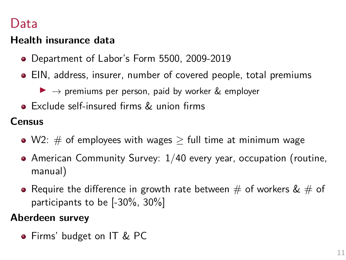### Data

### **Health insurance data**

- Department of Labor's Form 5500, 2009-2019
- EIN, address, insurer, number of covered people, total premiums
	- $\triangleright \rightarrow$  premiums per person, paid by worker & employer
- Exclude self-insured firms & union firms

#### **Census**

- W2:  $\#$  of employees with wages  $>$  full time at minimum wage
- American Community Survey: 1/40 every year, occupation (routine, manual)
- Require the difference in growth rate between  $\#$  of workers  $\& \#$  of participants to be [-30%, 30%]

#### **Aberdeen survey**

• Firms' budget on IT & PC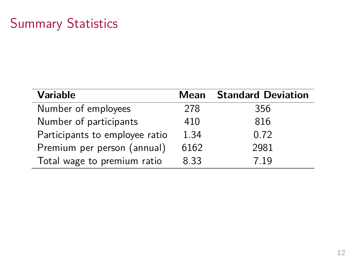# Summary Statistics

| <b>Variable</b>                | Mean | <b>Standard Deviation</b> |
|--------------------------------|------|---------------------------|
| Number of employees            | 278  | 356                       |
| Number of participants         | 410  | 816                       |
| Participants to employee ratio | 1.34 | 0.72                      |
| Premium per person (annual)    | 6162 | 2981                      |
| Total wage to premium ratio    | 8.33 | 7.19                      |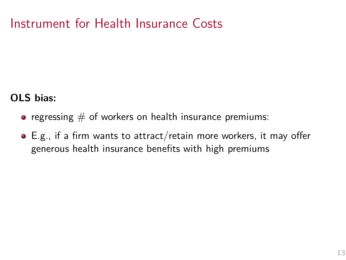## Instrument for Health Insurance Costs

#### **OLS bias:**

- regressing  $#$  of workers on health insurance premiums:
- E.g., if a firm wants to attract/retain more workers, it may offer generous health insurance benefits with high premiums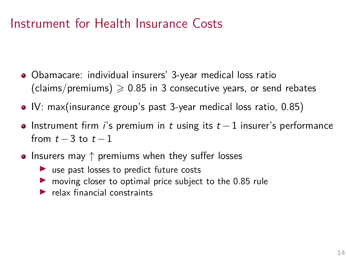### Instrument for Health Insurance Costs

- Obamacare: individual insurers' 3-year medical loss ratio (claims/premiums)  $\geqslant$  0.85 in 3 consecutive years, or send rebates
- IV: max(insurance group's past 3-year medical loss ratio, 0.85)
- Instrument firm i's premium in t using its  $t-1$  insurer's performance from  $t-3$  to  $t-1$
- Insurers may  $\uparrow$  premiums when they suffer losses
	- ▶ use past losses to predict future costs
	- $\triangleright$  moving closer to optimal price subject to the 0.85 rule
	- $\blacktriangleright$  relax financial constraints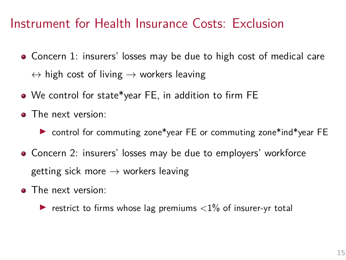### Instrument for Health Insurance Costs: Exclusion

- Concern 1: insurers' losses may be due to high cost of medical care  $\leftrightarrow$  high cost of living  $\rightarrow$  workers leaving
- We control for state\*year FE, in addition to firm FE
- The next version:
	- ▶ control for commuting zone\*year FE or commuting zone\*ind\*year FE
- Concern 2: insurers' losses may be due to employers' workforce getting sick more  $\rightarrow$  workers leaving
- The next version:
	- $\triangleright$  restrict to firms whose lag premiums  $\langle 1\%$  of insurer-yr total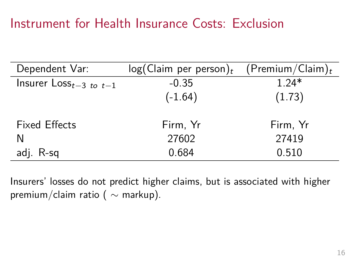## Instrument for Health Insurance Costs: Exclusion

| Dependent Var:             | log(Claim per person) <sub>t</sub> | (Premium/Claim) $_t$ |
|----------------------------|------------------------------------|----------------------|
| Insurer $Losst-3$ to $t-1$ | $-0.35$                            | $1.24*$              |
|                            | $(-1.64)$                          | (1.73)               |
| <b>Fixed Effects</b>       | Firm, Yr                           | Firm, Yr             |
| N                          | 27602                              | 27419                |
| adj. R-sq                  | 0.684                              | 0.510                |

Insurers' losses do not predict higher claims, but is associated with higher premium/claim ratio ( $\sim$  markup).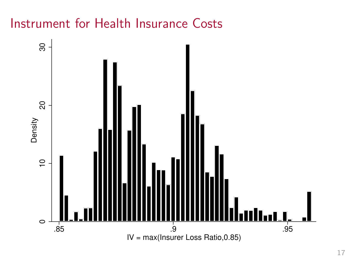# Instrument for Health Insurance Costs

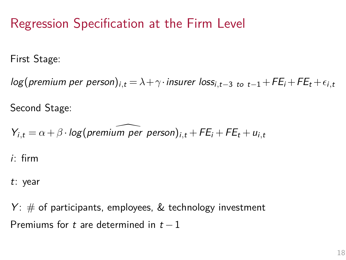## Regression Specification at the Firm Level

First Stage:

 $log($  premium per person)<sub>i,t</sub> =  $\lambda + \gamma \cdot$  insurer  $loss_{i,t-3}$  to  $_{t-1}$  + FE<sub>i</sub> + FE<sub>t</sub> +  $\epsilon_{i,t}$ 

Second Stage:

 $Y_{i,t} = \alpha + \beta \cdot \log(\text{premium per person})_{i,t} + FE_i + FE_t + u_{i,t}$ 

i: firm

t: year

 $Y: #$  of participants, employees, & technology investment Premiums for t are determined in  $t - 1$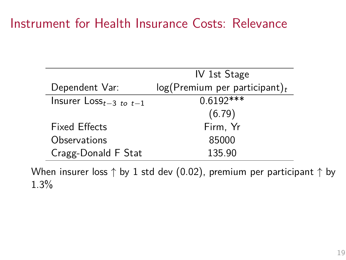### Instrument for Health Insurance Costs: Relevance

|                            | IV 1st Stage                                 |  |
|----------------------------|----------------------------------------------|--|
| Dependent Var:             | $log($ Premium per participant) <sub>t</sub> |  |
| Insurer $Losst-3$ to $t-1$ | $0.6192***$                                  |  |
|                            | (6.79)                                       |  |
| <b>Fixed Effects</b>       | Firm, Yr                                     |  |
| Observations               | 85000                                        |  |
| Cragg-Donald F Stat        | 135.90                                       |  |

When insurer loss  $\uparrow$  by 1 std dev (0.02), premium per participant  $\uparrow$  by 1.3%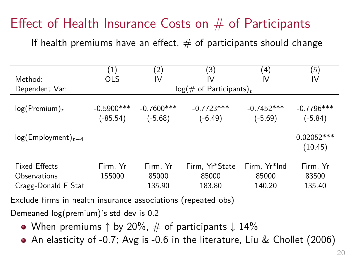# Effect of Health Insurance Costs on  $#$  of Participants

If health premiums have an effect,  $#$  of participants should change

|                                                             | (1)                         | (2)                         | (3)                               | (4)                             | (5)                         |
|-------------------------------------------------------------|-----------------------------|-----------------------------|-----------------------------------|---------------------------------|-----------------------------|
| Method:                                                     | <b>OLS</b>                  | IV                          | IV                                | IV                              | IV                          |
| Dependent Var:                                              |                             |                             | $log(\text{# of Participants})_t$ |                                 |                             |
| $log(Premium)_t$                                            | $-0.5900$ ***<br>$(-85.54)$ | $-0.7600$ ***<br>$(-5.68)$  | $-0.7723***$<br>$(-6.49)$         | $-0.7452***$<br>$(-5.69)$       | $-0.7796***$<br>$(-5.84)$   |
| $log(Employment)_{t-4}$                                     |                             |                             |                                   |                                 | $0.02052***$<br>(10.45)     |
| <b>Fixed Effects</b><br>Observations<br>Cragg-Donald F Stat | Firm, Yr<br>155000          | Firm, Yr<br>85000<br>135.90 | Firm, Yr*State<br>85000<br>183.80 | Firm, Yr*Ind<br>85000<br>140.20 | Firm, Yr<br>83500<br>135.40 |

Exclude firms in health insurance associations (repeated obs)

Demeaned log(premium)'s std dev is 0.2

- When premiums  $\uparrow$  by 20%,  $\#$  of participants  $\downarrow$  14%
- An elasticity of -0.7; Avg is -0.6 in the literature, Liu & Chollet (2006)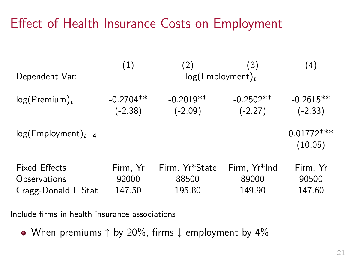# Effect of Health Insurance Costs on Employment

|                                 | (1)                      | (2)                      | (3)                      | (4)                      |
|---------------------------------|--------------------------|--------------------------|--------------------------|--------------------------|
| Dependent Var:                  | $log(Employment)_t$      |                          |                          |                          |
| $log($ Premium $)$ <sub>t</sub> | $-0.2704**$<br>$(-2.38)$ | $-0.2019**$<br>$(-2.09)$ | $-0.2502**$<br>$(-2.27)$ | $-0.2615**$<br>$(-2.33)$ |
| $log(Employment)_{t-4}$         |                          |                          |                          | $0.01772***$<br>(10.05)  |
| <b>Fixed Effects</b>            | Firm, Yr                 | Firm, Yr*State           | Firm, Yr*Ind             | Firm, Yr                 |
| Observations                    | 92000                    | 88500                    | 89000                    | 90500                    |
| Cragg-Donald F Stat             | 147.50                   | 195.80                   | 149.90                   | 147.60                   |

Include firms in health insurance associations

• When premiums  $\uparrow$  by 20%, firms  $\downarrow$  employment by 4%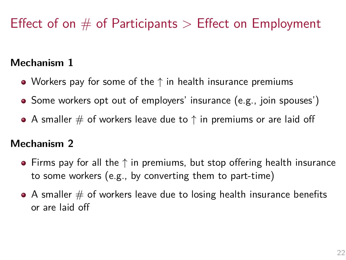# Effect of on # of Participants *>* Effect on Employment

#### **Mechanism 1**

- Workers pay for some of the  $\uparrow$  in health insurance premiums
- Some workers opt out of employers' insurance (e.g., join spouses')
- $\bullet$  A smaller  $\#$  of workers leave due to  $\uparrow$  in premiums or are laid off

#### **Mechanism 2**

- $\bullet$  Firms pay for all the  $\uparrow$  in premiums, but stop offering health insurance to some workers (e.g., by converting them to part-time)
- $\bullet$  A smaller  $\#$  of workers leave due to losing health insurance benefits or are laid off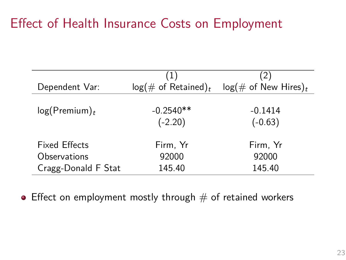# Effect of Health Insurance Costs on Employment

|                                      | (1)                           | (2)                            |
|--------------------------------------|-------------------------------|--------------------------------|
| Dependent Var:                       | $log(\text{# of Retained})_t$ | $log(\text{# of New Hires})_t$ |
| $log($ Premium $)$ <sub>t</sub>      | $-0.2540**$<br>$(-2.20)$      | $-0.1414$<br>$(-0.63)$         |
| <b>Fixed Effects</b><br>Observations | Firm, Yr<br>92000             | Firm, Yr<br>92000              |
| Cragg-Donald F Stat                  | 145.40                        | 145.40                         |

 $\bullet$  Effect on employment mostly through  $\#$  of retained workers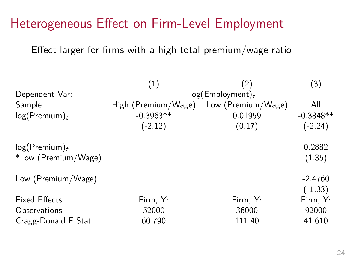# Heterogeneous Effect on Firm-Level Employment

Effect larger for firms with a high total premium/wage ratio

|                                 | (1)                 | (2)                 | (3)         |
|---------------------------------|---------------------|---------------------|-------------|
| Dependent Var:                  |                     | $log(Employment)_t$ |             |
| Sample:                         | High (Premium/Wage) | Low (Premium/Wage)  | All         |
| $log($ Premium $)$ <sub>t</sub> | $-0.3963**$         | 0.01959             | $-0.3848**$ |
|                                 | $(-2.12)$           | (0.17)              | $(-2.24)$   |
| $log($ Premium $)_t$            |                     |                     | 0.2882      |
| *Low (Premium/Wage)             |                     |                     | (1.35)      |
| Low (Premium/Wage)              |                     |                     | $-2.4760$   |
|                                 |                     |                     | $(-1.33)$   |
| <b>Fixed Effects</b>            | Firm, Yr            | Firm, Yr            | Firm, Yr    |
| Observations                    | 52000               | 36000               | 92000       |
| Cragg-Donald F Stat             | 60.790              | 111.40              | 41.610      |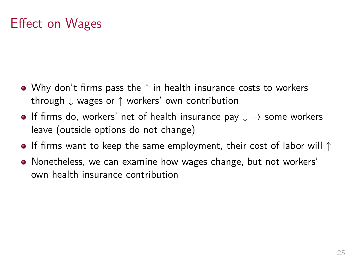# Effect on Wages

- Why don't firms pass the  $\uparrow$  in health insurance costs to workers through ↓ wages or ↑ workers' own contribution
- **•** If firms do, workers' net of health insurance pay  $\downarrow \rightarrow$  some workers leave (outside options do not change)
- If firms want to keep the same employment, their cost of labor will  $\uparrow$
- Nonetheless, we can examine how wages change, but not workers' own health insurance contribution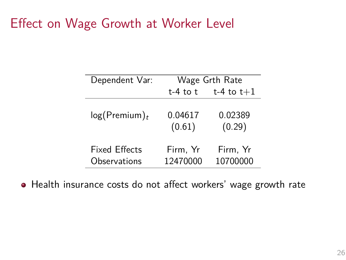## Effect on Wage Growth at Worker Level

| Dependent Var:                       | Wage Grth Rate       |                      |  |
|--------------------------------------|----------------------|----------------------|--|
|                                      | $t-4$ to $t$         | t-4 to $t+1$         |  |
| $log($ Premium $)$ <sub>t</sub>      | 0.04617<br>(0.61)    | 0.02389<br>(0.29)    |  |
| <b>Fixed Effects</b><br>Observations | Firm, Yr<br>12470000 | Firm, Yr<br>10700000 |  |

Health insurance costs do not affect workers' wage growth rate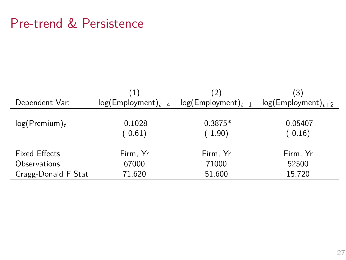# Pre-trend & Persistence

|                                 | (1)                     | (2)                     | 3)                      |
|---------------------------------|-------------------------|-------------------------|-------------------------|
| Dependent Var:                  | $log(Employment)_{t-4}$ | $log(Emplogment)_{t+1}$ | $log(Emplogment)_{t+2}$ |
| $log($ Premium $)$ <sub>t</sub> | $-0.1028$<br>$(-0.61)$  | $-0.3875*$<br>$(-1.90)$ | $-0.05407$<br>$(-0.16)$ |
| <b>Fixed Effects</b>            | Firm, Yr                | Firm, Yr                | Firm, Yr                |
| Observations                    | 67000                   | 71000                   | 52500                   |
| Cragg-Donald F Stat             | 71.620                  | 51.600                  | 15.720                  |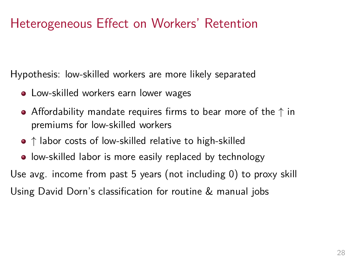# Heterogeneous Effect on Workers' Retention

Hypothesis: low-skilled workers are more likely separated

- Low-skilled workers earn lower wages
- Affordability mandate requires firms to bear more of the  $\uparrow$  in premiums for low-skilled workers
- $\bullet$   $\uparrow$  labor costs of low-skilled relative to high-skilled
- low-skilled labor is more easily replaced by technology

Use avg. income from past 5 years (not including 0) to proxy skill Using David Dorn's classification for routine & manual jobs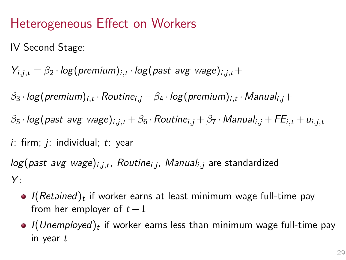# Heterogeneous Effect on Workers

IV Second Stage:

 $Y_{i,j,t} = \beta_2 \cdot log(p$ remium $)_{i,t} \cdot log(p$ ast avg wage $)_{i,j,t} +$ 

 $\beta_3 \cdot \log(\textnormal{premium})_{i,t} \cdot \textnormal{Routine}_{i,j} + \beta_4 \cdot \log(\textnormal{premium})_{i,t} \cdot \textnormal{Manual}_{i,j} +$ *β*<sup>5</sup> · log(past avg wage)i*,*j*,*<sup>t</sup> +*β*<sup>6</sup> ·Routinei*,*<sup>j</sup> +*β*<sup>7</sup> ·Manuali*,*<sup>j</sup> +FEi*,*<sup>t</sup> +ui*,*j*,*<sup>t</sup>  $i$ : firm;  $j$ : individual;  $t$ : year

log(past avg wage)i*,*j*,*<sup>t</sup> , Routinei*,*<sup>j</sup> , Manuali*,*<sup>j</sup> are standardized  $Y:$ 

- *I*(*Retained*) $_t$  if worker earns at least minimum wage full-time pay from her employer of  $t-1$
- *I*(Unemployed) $_{t}$  if worker earns less than minimum wage full-time pay in year t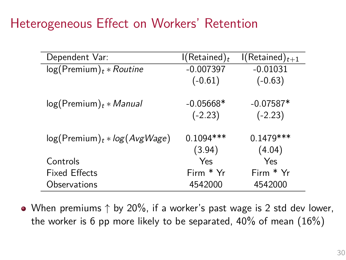## Heterogeneous Effect on Workers' Retention

| Dependent Var:                            | $\mathsf{I}(\mathsf{Retained})_t$ | $I(Retained)_{t+1}$ |
|-------------------------------------------|-----------------------------------|---------------------|
| $log($ Premium $)$ <sub>t</sub> * Routine | $-0.007397$                       | $-0.01031$          |
|                                           | $(-0.61)$                         | $(-0.63)$           |
| $log($ Premium $)$ <sub>t</sub> * Manual  | $-0.05668*$                       | $-0.07587*$         |
|                                           | $(-2.23)$                         | $(-2.23)$           |
| $log(Premium)t * log(AvgWage)$            | $0.1094***$                       | $0.1479***$         |
|                                           | (3.94)                            | (4.04)              |
| Controls                                  | Yes                               | Yes                 |
| <b>Fixed Effects</b>                      | Firm * Yr                         | Firm * Yr           |
| Observations                              | 4542000                           | 4542000             |

• When premiums  $\uparrow$  by 20%, if a worker's past wage is 2 std dev lower, the worker is 6 pp more likely to be separated,  $40\%$  of mean  $(16\%)$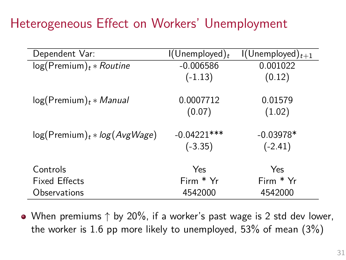# Heterogeneous Effect on Workers' Unemployment

| Dependent Var:                                  | $\left(\bigcup$ nemployed) <sub>t</sub> | $\left(\bigcup$ nemployed $\right)_{t+1}$ |
|-------------------------------------------------|-----------------------------------------|-------------------------------------------|
| $log($ Premium $)$ <sub>t</sub> * Routine       | $-0.006586$                             | 0.001022                                  |
|                                                 | $(-1.13)$                               | (0.12)                                    |
| $log($ Premium $)$ <sub>t</sub> * <i>Manual</i> | 0.0007712                               | 0.01579                                   |
|                                                 | (0.07)                                  | (1.02)                                    |
| $log($ Premium $)$ <sub>t</sub> * log(AvgWage)  | $-0.04221***$                           | $-0.03978*$                               |
|                                                 | $(-3.35)$                               | $(-2.41)$                                 |
| Controls                                        | Yes                                     | Yes                                       |
| <b>Fixed Effects</b>                            | $Firm * Yr$                             | Firm * Yr                                 |
| Observations                                    | 4542000                                 | 4542000                                   |

• When premiums  $\uparrow$  by 20%, if a worker's past wage is 2 std dev lower, the worker is 1.6 pp more likely to unemployed, 53% of mean (3%)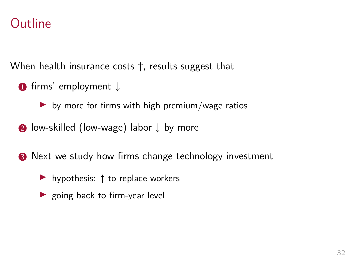### Outline

When health insurance costs ↑, results suggest that

- $\bullet$  firms' employment  $\downarrow$ 
	- $\blacktriangleright$  by more for firms with high premium/wage ratios
- 2 low-skilled (low-wage) labor ↓ by more
- **3** Next we study how firms change technology investment
	- ▶ hypothesis:  $\uparrow$  to replace workers
	- ▶ going back to firm-year level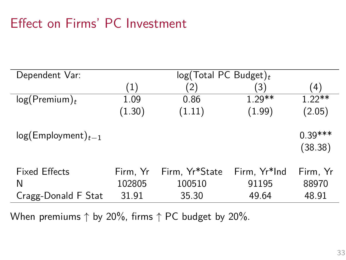## Effect on Firms' PC Investment

| Dependent Var:                                   | log(Total PC Budget)        |                                   |                                |                            |
|--------------------------------------------------|-----------------------------|-----------------------------------|--------------------------------|----------------------------|
|                                                  | (1)                         | (2)                               | $\left( 3\right)$              | (4)                        |
| $log($ Premium $)$ <sub>t</sub>                  | 1.09                        | 0.86                              | $1.29**$                       | $1.22**$                   |
|                                                  | (1.30)                      | (1.11)                            | (1.99)                         | (2.05)                     |
| $log(Employment)_{t-1}$                          |                             |                                   |                                | $0.39***$<br>(38.38)       |
| <b>Fixed Effects</b><br>N<br>Cragg-Donald F Stat | Firm, Yr<br>102805<br>31.91 | Firm, Yr*State<br>100510<br>35.30 | Firm, Yr*Ind<br>91195<br>49.64 | Firm, Yr<br>88970<br>48.91 |

When premiums  $\uparrow$  by 20%, firms  $\uparrow$  PC budget by 20%.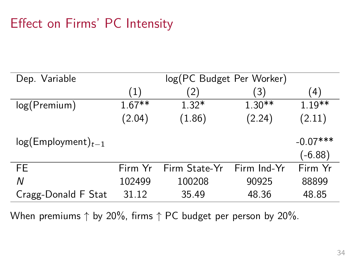# Effect on Firms' PC Intensity

| Dep. Variable           | log(PC Budget Per Worker) |                   |             |            |
|-------------------------|---------------------------|-------------------|-------------|------------|
|                         | (1)                       | $\left( 2\right)$ | (3)         | (4)        |
| log(Premium)            | $1.67**$                  | $1.32*$           | $1.30**$    | $1.19**$   |
|                         | (2.04)                    | (1.86)            | (2.24)      | (2.11)     |
| $log(Employment)_{t-1}$ |                           |                   |             | $-0.07***$ |
|                         |                           |                   |             | $(-6.88)$  |
| FE                      | Firm Yr                   | Firm State-Yr     | Firm Ind-Yr | Firm Yr    |
| Ν                       | 102499                    | 100208            | 90925       | 88899      |
| Cragg-Donald F Stat     | 31.12                     | 35.49             | 48.36       | 48.85      |

When premiums ↑ by 20%, firms ↑ PC budget per person by 20%.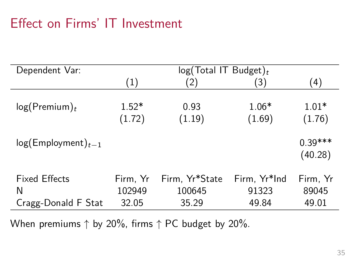# Effect on Firms' IT Investment

| Dependent Var:                                   | $log(Total IT Budget)_t$    |                                   |                                |                            |
|--------------------------------------------------|-----------------------------|-----------------------------------|--------------------------------|----------------------------|
|                                                  | (1)                         | (2)                               | (3)                            | (4)                        |
| $log(Premium)_t$                                 | $1.52*$<br>(1.72)           | 0.93<br>(1.19)                    | $1.06*$<br>(1.69)              | $1.01*$<br>(1.76)          |
| $log(Employment)_{t-1}$                          |                             |                                   |                                | $0.39***$<br>(40.28)       |
| <b>Fixed Effects</b><br>N<br>Cragg-Donald F Stat | Firm, Yr<br>102949<br>32.05 | Firm, Yr*State<br>100645<br>35.29 | Firm, Yr*Ind<br>91323<br>49.84 | Firm, Yr<br>89045<br>49.01 |

When premiums  $\uparrow$  by 20%, firms  $\uparrow$  PC budget by 20%.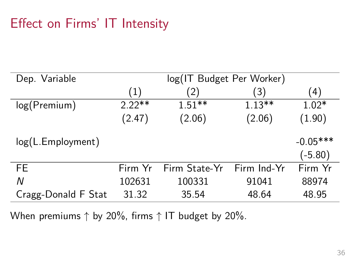# Effect on Firms' IT Intensity

| Dep. Variable       | log(IT Budget Per Worker) |               |             |            |
|---------------------|---------------------------|---------------|-------------|------------|
|                     | (1)                       | $^{\prime}2)$ | (3)         | (4)        |
| log(Premium)        | $2.22**$                  | $1.51**$      | $1.13***$   | $1.02*$    |
|                     | (2.47)                    | (2.06)        | (2.06)      | (1.90)     |
| log(L.Employment)   |                           |               |             | $-0.05***$ |
|                     |                           |               |             | $(-5.80)$  |
| <b>FE</b>           | Firm Yr                   | Firm State-Yr | Firm Ind-Yr | Firm Yr    |
| Ν                   | 102631                    | 100331        | 91041       | 88974      |
| Cragg-Donald F Stat | 31.32                     | 35.54         | 48.64       | 48.95      |

When premiums  $\uparrow$  by 20%, firms  $\uparrow$  IT budget by 20%.